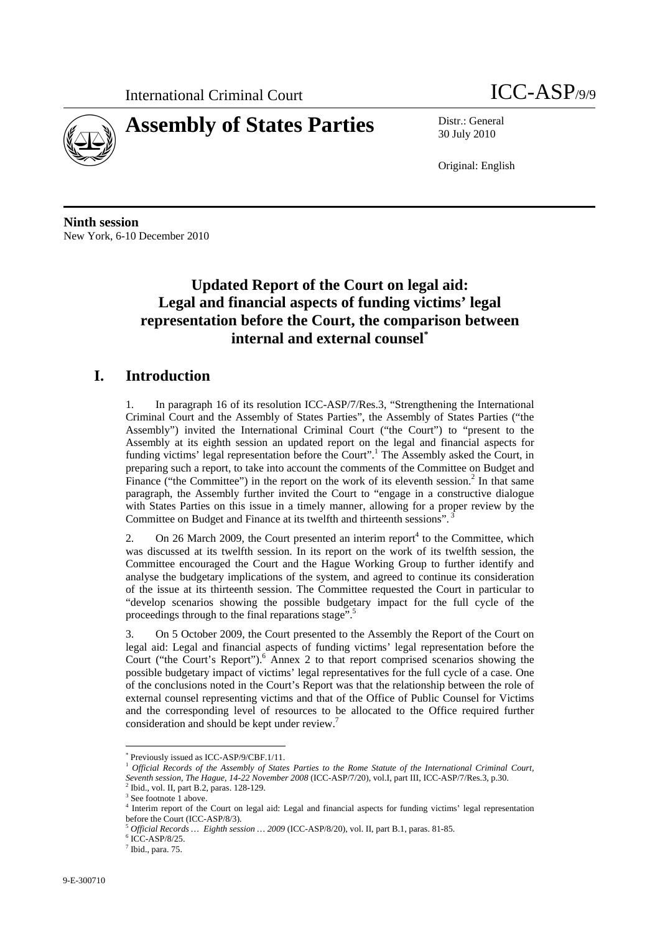

30 July 2010

Original: English

**Ninth session**  New York, 6-10 December 2010

## **Updated Report of the Court on legal aid: Legal and financial aspects of funding victims' legal representation before the Court, the comparison between internal and external counsel\***

## **I. Introduction**

1. In paragraph 16 of its resolution ICC-ASP/7/Res.3, "Strengthening the International Criminal Court and the Assembly of States Parties", the Assembly of States Parties ("the Assembly") invited the International Criminal Court ("the Court") to "present to the Assembly at its eighth session an updated report on the legal and financial aspects for funding victims' legal representation before the Court".<sup>1</sup> The Assembly asked the Court, in preparing such a report, to take into account the comments of the Committee on Budget and Finance ("the Committee") in the report on the work of its eleventh session.<sup>2</sup> In that same paragraph, the Assembly further invited the Court to "engage in a constructive dialogue with States Parties on this issue in a timely manner, allowing for a proper review by the Committee on Budget and Finance at its twelfth and thirteenth sessions".

2. On 26 March 2009, the Court presented an interim report $<sup>4</sup>$  to the Committee, which</sup> was discussed at its twelfth session. In its report on the work of its twelfth session, the Committee encouraged the Court and the Hague Working Group to further identify and analyse the budgetary implications of the system, and agreed to continue its consideration of the issue at its thirteenth session. The Committee requested the Court in particular to "develop scenarios showing the possible budgetary impact for the full cycle of the proceedings through to the final reparations stage".<sup>5</sup>

3. On 5 October 2009, the Court presented to the Assembly the Report of the Court on legal aid: Legal and financial aspects of funding victims' legal representation before the Court ("the Court's Report").<sup>6</sup> Annex 2 to that report comprised scenarios showing the possible budgetary impact of victims' legal representatives for the full cycle of a case. One of the conclusions noted in the Court's Report was that the relationship between the role of external counsel representing victims and that of the Office of Public Counsel for Victims and the corresponding level of resources to be allocated to the Office required further consideration and should be kept under review.7

 $6$  ICC-ASP/8/25.

 $\overline{a}$ \* Previously issued as ICC-ASP/9/CBF.1/11.

<sup>&</sup>lt;sup>1</sup> Official Records of the Assembly of States Parties to the Rome Statute of the International Criminal Court, *Seventh session, The Hague, 14-22 November 2008* (ICC-ASP/7/20), vol.I, part III, ICC-ASP/7/Res.3, p.30. 2

 $2$  Ibid., vol. II, part B.2, paras. 128-129.

<sup>&</sup>lt;sup>3</sup> See footnote 1 above.

<sup>4</sup> Interim report of the Court on legal aid: Legal and financial aspects for funding victims' legal representation before the Court (ICC-ASP/8/3).

<sup>5</sup> *Official Records … Eighth session … 2009* (ICC-ASP/8/20), vol. II, part B.1, paras. 81-85. 6

 $<sup>7</sup>$  Ibid., para. 75.</sup>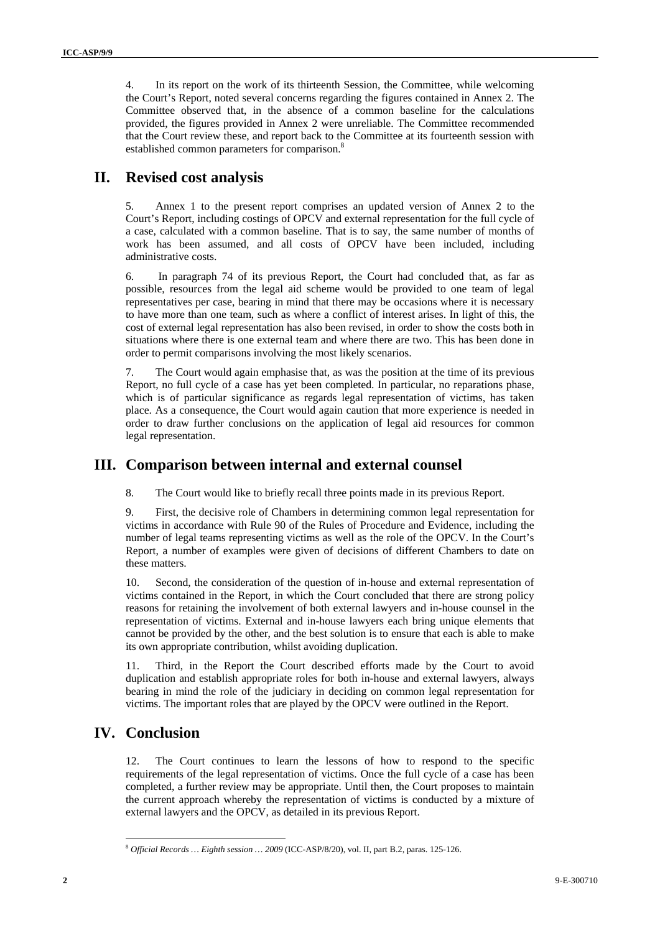4. In its report on the work of its thirteenth Session, the Committee, while welcoming the Court's Report, noted several concerns regarding the figures contained in Annex 2. The Committee observed that, in the absence of a common baseline for the calculations provided, the figures provided in Annex 2 were unreliable. The Committee recommended that the Court review these, and report back to the Committee at its fourteenth session with established common parameters for comparison.<sup>8</sup>

### **II. Revised cost analysis**

5. Annex 1 to the present report comprises an updated version of Annex 2 to the Court's Report, including costings of OPCV and external representation for the full cycle of a case, calculated with a common baseline. That is to say, the same number of months of work has been assumed, and all costs of OPCV have been included, including administrative costs.

6. In paragraph 74 of its previous Report, the Court had concluded that, as far as possible, resources from the legal aid scheme would be provided to one team of legal representatives per case, bearing in mind that there may be occasions where it is necessary to have more than one team, such as where a conflict of interest arises. In light of this, the cost of external legal representation has also been revised, in order to show the costs both in situations where there is one external team and where there are two. This has been done in order to permit comparisons involving the most likely scenarios.

7. The Court would again emphasise that, as was the position at the time of its previous Report, no full cycle of a case has yet been completed. In particular, no reparations phase, which is of particular significance as regards legal representation of victims, has taken place. As a consequence, the Court would again caution that more experience is needed in order to draw further conclusions on the application of legal aid resources for common legal representation.

#### **III. Comparison between internal and external counsel**

8. The Court would like to briefly recall three points made in its previous Report.

9. First, the decisive role of Chambers in determining common legal representation for victims in accordance with Rule 90 of the Rules of Procedure and Evidence, including the number of legal teams representing victims as well as the role of the OPCV. In the Court's Report, a number of examples were given of decisions of different Chambers to date on these matters.

10. Second, the consideration of the question of in-house and external representation of victims contained in the Report, in which the Court concluded that there are strong policy reasons for retaining the involvement of both external lawyers and in-house counsel in the representation of victims. External and in-house lawyers each bring unique elements that cannot be provided by the other, and the best solution is to ensure that each is able to make its own appropriate contribution, whilst avoiding duplication.

11. Third, in the Report the Court described efforts made by the Court to avoid duplication and establish appropriate roles for both in-house and external lawyers, always bearing in mind the role of the judiciary in deciding on common legal representation for victims. The important roles that are played by the OPCV were outlined in the Report.

#### **IV. Conclusion**

 $\overline{a}$ 

12. The Court continues to learn the lessons of how to respond to the specific requirements of the legal representation of victims. Once the full cycle of a case has been completed, a further review may be appropriate. Until then, the Court proposes to maintain the current approach whereby the representation of victims is conducted by a mixture of external lawyers and the OPCV, as detailed in its previous Report.

<sup>8</sup> *Official Records … Eighth session … 2009* (ICC-ASP/8/20), vol. II, part B.2, paras. 125-126.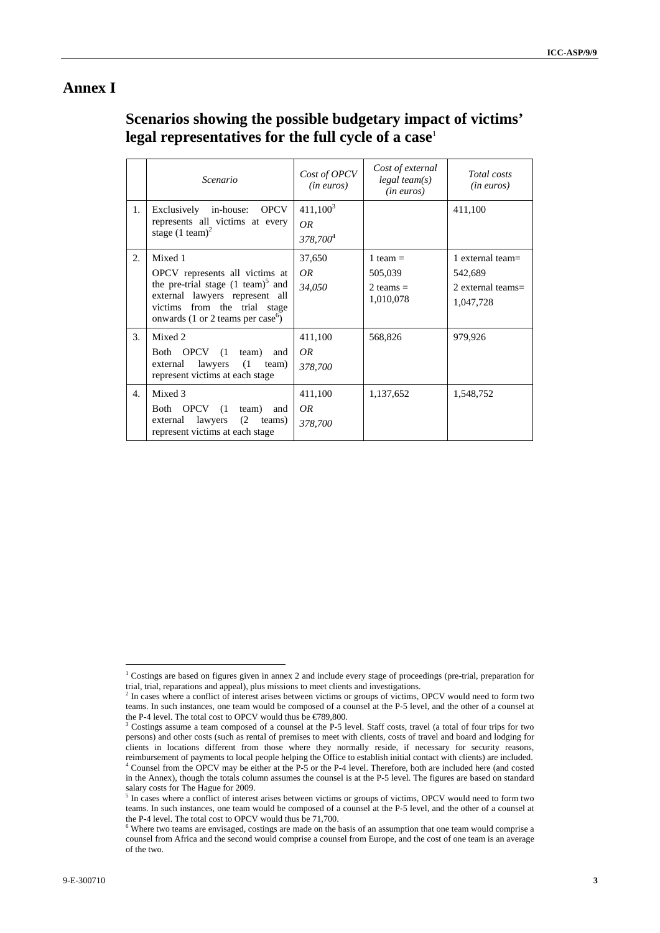#### **Annex I**

## **Scenarios showing the possible budgetary impact of victims' legal representatives for the full cycle of a case**<sup>1</sup>

|    | Scenario                                                                                                                                                                                                        | Cost of OPCV<br>$(in\>euros)$              | Cost of external<br>$legal$ team(s)<br>$(in\ euros)$ | Total costs<br>(in euros)                                        |
|----|-----------------------------------------------------------------------------------------------------------------------------------------------------------------------------------------------------------------|--------------------------------------------|------------------------------------------------------|------------------------------------------------------------------|
| 1. | <b>OPCV</b><br>Exclusively in-house:<br>represents all victims at every<br>stage $(1 \text{ team})^2$                                                                                                           | $411,100^3$<br>OR.<br>378,700 <sup>4</sup> |                                                      | 411,100                                                          |
| 2. | Mixed 1<br>OPCV represents all victims at<br>the pre-trial stage $(1 \text{ team})^3$ and<br>external lawyers represent all<br>from the trial stage<br>victims<br>onwards (1 or 2 teams per case <sup>6</sup> ) | 37,650<br>OR.<br>34,050                    | 1 team $=$<br>505,039<br>2 teams $=$<br>1,010,078    | 1 external team $=$<br>542,689<br>2 external teams=<br>1,047,728 |
| 3. | Mixed 2<br>Both OPCV<br>(1)<br>team)<br>and<br>(1)<br>lawyers<br>external<br>team)<br>represent victims at each stage                                                                                           | 411,100<br>OR<br>378,700                   | 568,826                                              | 979,926                                                          |
| 4. | Mixed 3<br>Both OPCV (1<br>team)<br>and<br>(2)<br>lawyers<br>teams)<br>external<br>represent victims at each stage                                                                                              | 411,100<br>OR<br>378,700                   | 1,137,652                                            | 1,548,752                                                        |

 $\overline{a}$ 

<sup>&</sup>lt;sup>1</sup> Costings are based on figures given in annex 2 and include every stage of proceedings (pre-trial, preparation for

trial, trial, reparations and appeal), plus missions to meet clients and investigations.<br><sup>2</sup> In cases where a conflict of interest arises between victims or groups of victims, OPCV would need to form two teams. In such instances, one team would be composed of a counsel at the P-5 level, and the other of a counsel at the P-4 level. The total cost to OPCV would thus be  $\in$  789,800.

<sup>&</sup>lt;sup>3</sup> Costings assume a team composed of a counsel at the P-5 level. Staff costs, travel (a total of four trips for two persons) and other costs (such as rental of premises to meet with clients, costs of travel and board and lodging for clients in locations different from those where they normally reside, if necessary for security reasons, reimbursement of payments to local people helping the Office to establish initial contact with clients) are included. 4 Counsel from the OPCV may be either at the P-5 or the P-4 level. Therefore, both are included here (and costed in the Annex), though the totals column assumes the counsel is at the P-5 level. The figures are based on standard salary costs for The Hague for 2009.

<sup>&</sup>lt;sup>5</sup> In cases where a conflict of interest arises between victims or groups of victims, OPCV would need to form two teams. In such instances, one team would be composed of a counsel at the P-5 level, and the other of a counsel at the P-4 level. The total cost to OPCV would thus be  $71,700$ .

Where two teams are envisaged, costings are made on the basis of an assumption that one team would comprise a counsel from Africa and the second would comprise a counsel from Europe, and the cost of one team is an average of the two.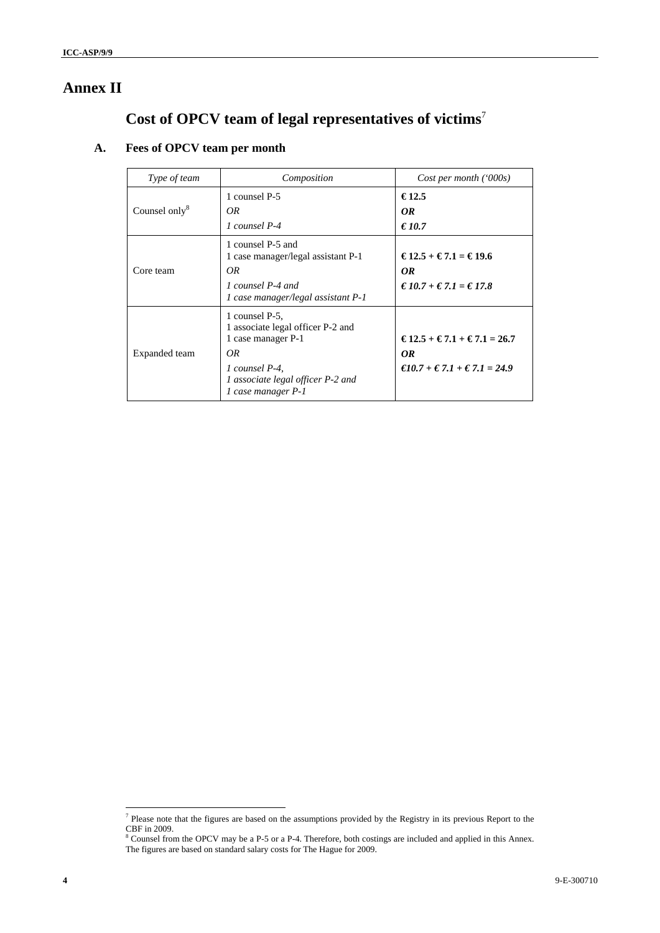## **Annex II**

# **Cost of OPCV team of legal representatives of victims**<sup>7</sup>

## **A. Fees of OPCV team per month**

| Type of team              | Composition                                                                                                                                                   | Cost per month ('000s)                                                                                                      |
|---------------------------|---------------------------------------------------------------------------------------------------------------------------------------------------------------|-----------------------------------------------------------------------------------------------------------------------------|
| Counsel only <sup>8</sup> | 1 counsel P-5<br>OR.<br>1 counsel P-4                                                                                                                         | €12.5<br>OR<br>€ 10.7                                                                                                       |
| Core team                 | 1 counsel P-5 and<br>1 case manager/legal assistant P-1<br>OR.<br>1 counsel P-4 and<br>1 case manager/legal assistant P-1                                     | €12.5 + €7.1 = €19.6<br>OR<br>$€10.7 + €7.1 = €17.8$                                                                        |
| Expanded team             | 1 counsel P-5.<br>1 associate legal officer P-2 and<br>1 case manager P-1<br>OR.<br>1 counsel P-4.<br>1 associate legal officer P-2 and<br>1 case manager P-1 | $\text{\textsterling}12.5 + \text{\textsterling}7.1 + \text{\textsterling}7.1 = 26.7$<br>OR<br>€10.7 + € 7.1 + € 7.1 = 24.9 |

<sup>&</sup>lt;sup>7</sup> Please note that the figures are based on the assumptions provided by the Registry in its previous Report to the CBF in 2009. 8 Counsel from the OPCV may be a P-5 or a P-4. Therefore, both costings are included and applied in this Annex.

The figures are based on standard salary costs for The Hague for 2009.